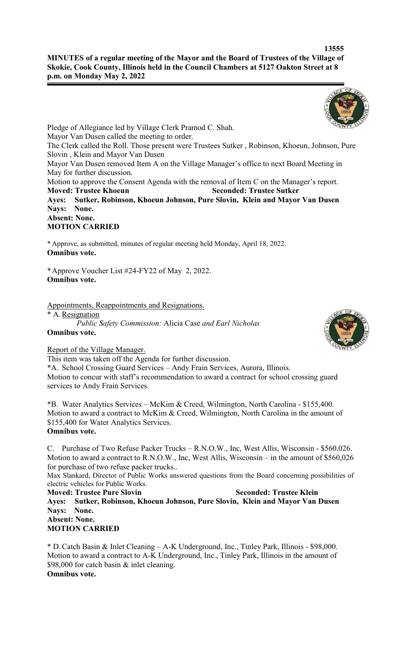## **13555 MINUTES of a regular meeting of the Mayor and the Board of Trustees of the Village of Skokie, Cook County, Illinois held in the Council Chambers at 5127 Oakton Street at 8 p.m. on Monday May 2, 2022**

Pledge of Allegiance led by Village Clerk Pramod C. Shah. Mayor Van Dusen called the meeting to order. The Clerk called the Roll. Those present were Trustees Sutker , Robinson, Khoeun, Johnson, Pure Slovin , Klein and Mayor Van Dusen Mayor Van Dusen removed Item A on the Village Manager's office to next Board Meeting in May for further discussion. Motion to approve the Consent Agenda with the removal of Item C on the Manager's report. **Moved: Trustee Khoeun Seconded: Trustee Sutker Ayes: Sutker, Robinson, Khoeun Johnson, Pure Slovin, Klein and Mayor Van Dusen Nays: None. Absent: None. MOTION CARRIED**

\* Approve, as submitted, minutes of regular meeting held Monday, April 18, 2022. **Omnibus vote.**

\*Approve Voucher List #24-FY22 of May 2, 2022. **Omnibus vote.**

Appointments, Reappointments and Resignations.

\* A.Resignation

*Public Safety Commission:* Alicia Case *and Earl Nicholas* **Omnibus vote.**



This item was taken off the Agenda for further discussion.

\*A. School Crossing Guard Services – Andy Frain Services, Aurora, Illinois. Motion to concur with staff's recommendation to award a contract for school crossing guard services to Andy Frain Services.

\*B. Water Analytics Services – McKim & Creed, Wilmington, North Carolina - \$155,400. Motion to award a contract to McKim & Creed, Wilmington, North Carolina in the amount of \$155,400 for Water Analytics Services. **Omnibus vote.**

C. Purchase of Two Refuse Packer Trucks – R.N.O.W., Inc, West Allis, Wisconsin - \$560,026. Motion to award a contract to R.N.O.W., Inc, West Allis, Wisconsin – in the amount of \$560,026 for purchase of two refuse packer trucks..

Max Slankard, Director of Public Works answered questions from the Board concerning possibilities of electric vehicles for Public Works.

**Moved: Trustee Pure Slovin Seconded: Trustee Klein Ayes: Sutker, Robinson, Khoeun Johnson, Pure Slovin, Klein and Mayor Van Dusen Nays: None. Absent: None.**

## **MOTION CARRIED**

\* D.Catch Basin & Inlet Cleaning – A-K Underground, Inc., Tinley Park, Illinois - \$98,000. Motion to award a contract to A-K Underground, Inc., Tinley Park, Illinois in the amount of \$98,000 for catch basin & inlet cleaning. **Omnibus vote.**